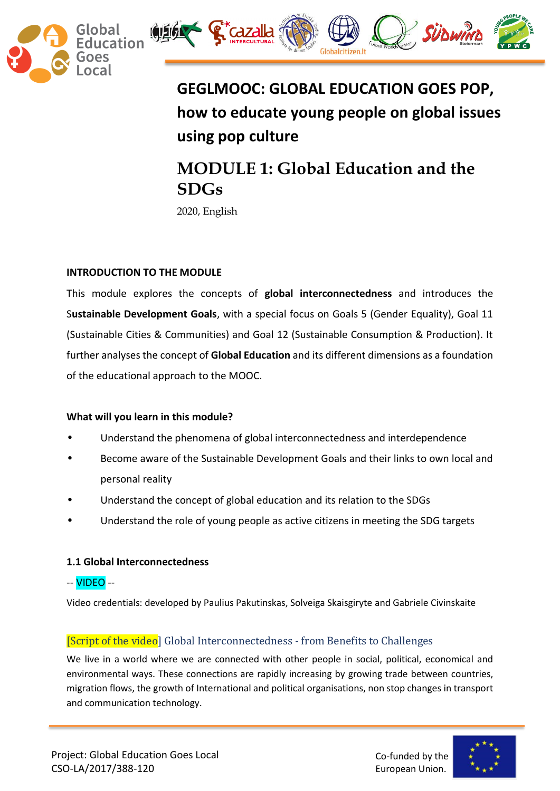



# **GEGLMOOC: GLOBAL EDUCATION GOES POP, how to educate young people on global issues using pop culture**

# **MODULE 1: Global Education and the SDGs**

2020, English

# **INTRODUCTION TO THE MODULE**

This module explores the concepts of **global interconnectedness** and introduces the S**ustainable Development Goals**, with a special focus on Goals 5 (Gender Equality), Goal 11 (Sustainable Cities & Communities) and Goal 12 (Sustainable Consumption & Production). It further analyses the concept of **Global Education** and its different dimensions as a foundation of the educational approach to the MOOC.

# **What will you learn in this module?**

- Understand the phenomena of global interconnectedness and interdependence
- Become aware of the Sustainable Development Goals and their links to own local and personal reality
- Understand the concept of global education and its relation to the SDGs
- Understand the role of young people as active citizens in meeting the SDG targets

# **1.1 Global Interconnectedness**

-- VIDEO --

Video credentials: developed by Paulius Pakutinskas, Solveiga Skaisgiryte and Gabriele Civinskaite

# [Script of the video] Global Interconnectedness - from Benefits to Challenges

We live in a world where we are connected with other people in social, political, economical and environmental ways. These connections are rapidly increasing by growing trade between countries, migration flows, the growth of International and political organisations, non stop changes in transport and communication technology.

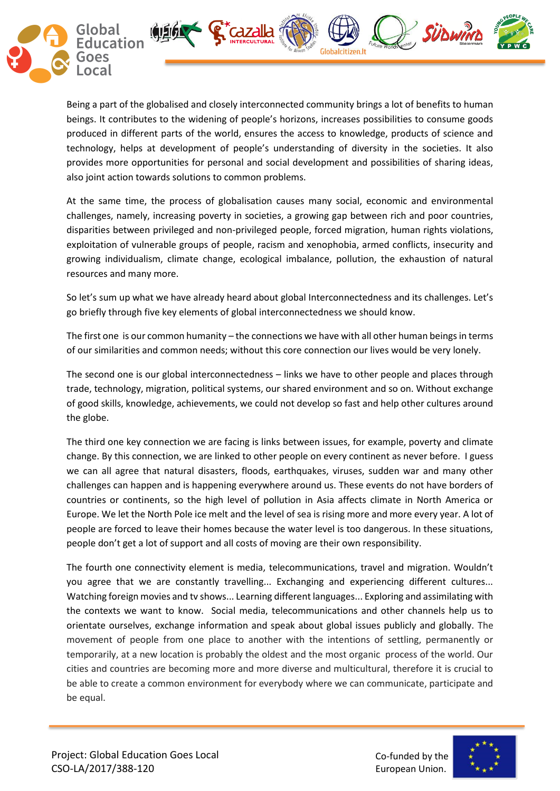

Being a part of the globalised and closely interconnected community brings a lot of benefits to human beings. It contributes to the widening of people's horizons, increases possibilities to consume goods produced in different parts of the world, ensures the access to knowledge, products of science and technology, helps at development of people's understanding of diversity in the societies. It also provides more opportunities for personal and social development and possibilities of sharing ideas, also joint action towards solutions to common problems.

At the same time, the process of globalisation causes many social, economic and environmental challenges, namely, increasing poverty in societies, a growing gap between rich and poor countries, disparities between privileged and non-privileged people, forced migration, human rights violations, exploitation of vulnerable groups of people, racism and xenophobia, armed conflicts, insecurity and growing individualism, climate change, ecological imbalance, pollution, the exhaustion of natural resources and many more.

So let's sum up what we have already heard about global Interconnectedness and its challenges. Let's go briefly through five key elements of global interconnectedness we should know.

The first one is our common humanity – the connections we have with all other human beings in terms of our similarities and common needs; without this core connection our lives would be very lonely.

The second one is our global interconnectedness – links we have to other people and places through trade, technology, migration, political systems, our shared environment and so on. Without exchange of good skills, knowledge, achievements, we could not develop so fast and help other cultures around the globe.

The third one key connection we are facing is links between issues, for example, poverty and climate change. By this connection, we are linked to other people on every continent as never before. I guess we can all agree that natural disasters, floods, earthquakes, viruses, sudden war and many other challenges can happen and is happening everywhere around us. These events do not have borders of countries or continents, so the high level of pollution in Asia affects climate in North America or Europe. We let the North Pole ice melt and the level of sea is rising more and more every year. A lot of people are forced to leave their homes because the water level is too dangerous. In these situations, people don't get a lot of support and all costs of moving are their own responsibility.

The fourth one connectivity element is media, telecommunications, travel and migration. Wouldn't you agree that we are constantly travelling... Exchanging and experiencing different cultures... Watching foreign movies and tv shows... Learning different languages... Exploring and assimilating with the contexts we want to know. Social media, telecommunications and other channels help us to orientate ourselves, exchange information and speak about global issues publicly and globally. The movement of people from one place to another with the intentions of settling, permanently or temporarily, at a new location is probably the oldest and the most organic process of the world. Our cities and countries are becoming more and more diverse and multicultural, therefore it is crucial to be able to create a common environment for everybody where we can communicate, participate and be equal.

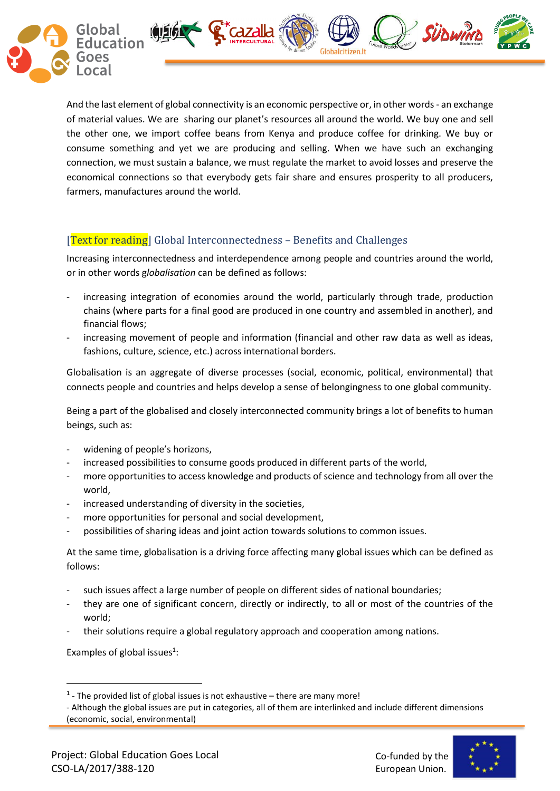

And the last element of global connectivity is an economic perspective or, in other words - an exchange of material values. We are sharing our planet's resources all around the world. We buy one and sell the other one, we import coffee beans from Kenya and produce coffee for drinking. We buy or consume something and yet we are producing and selling. When we have such an exchanging connection, we must sustain a balance, we must regulate the market to avoid losses and preserve the economical connections so that everybody gets fair share and ensures prosperity to all producers, farmers, manufactures around the world.

# [Text for reading] Global Interconnectedness – Benefits and Challenges

Increasing interconnectedness and interdependence among people and countries around the world, or in other words g*lobalisation* can be defined as follows:

- increasing integration of economies around the world, particularly through trade, production chains (where parts for a final good are produced in one country and assembled in another), and financial flows;
- increasing movement of people and information (financial and other raw data as well as ideas, fashions, culture, science, etc.) across international borders.

Globalisation is an aggregate of diverse processes (social, economic, political, environmental) that connects people and countries and helps develop a sense of belongingness to one global community.

Being a part of the globalised and closely interconnected community brings a lot of benefits to human beings, such as:

- widening of people's horizons,
- increased possibilities to consume goods produced in different parts of the world,
- more opportunities to access knowledge and products of science and technology from all over the world,
- increased understanding of diversity in the societies,
- more opportunities for personal and social development,
- possibilities of sharing ideas and joint action towards solutions to common issues.

At the same time, globalisation is a driving force affecting many global issues which can be defined as follows:

- such issues affect a large number of people on different sides of national boundaries;
- they are one of significant concern, directly or indirectly, to all or most of the countries of the world;
- their solutions require a global regulatory approach and cooperation among nations.

Examples of global issues $1$ :

**.** 



 $<sup>1</sup>$  - The provided list of global issues is not exhaustive – there are many more!</sup>

<sup>-</sup> Although the global issues are put in categories, all of them are interlinked and include different dimensions (economic, social, environmental)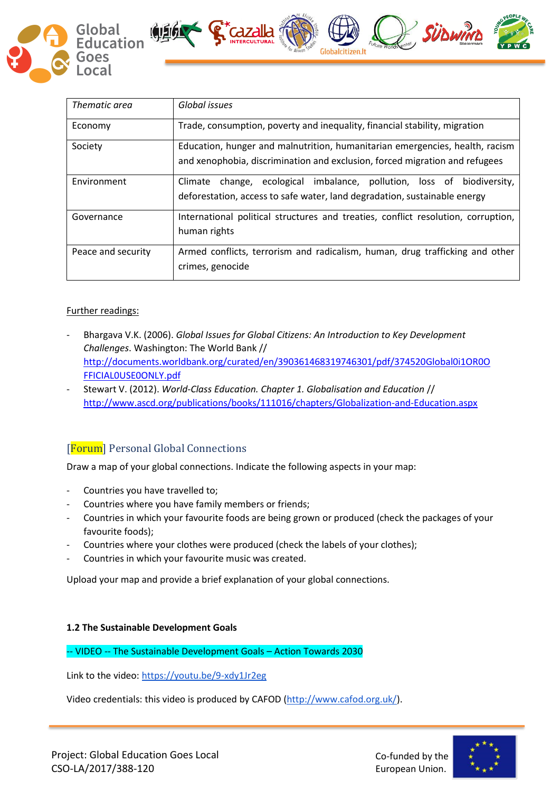

| Thematic area      | Global issues                                                                                                                                               |
|--------------------|-------------------------------------------------------------------------------------------------------------------------------------------------------------|
| Economy            | Trade, consumption, poverty and inequality, financial stability, migration                                                                                  |
| Society            | Education, hunger and malnutrition, humanitarian emergencies, health, racism<br>and xenophobia, discrimination and exclusion, forced migration and refugees |
| Environment        | change, ecological imbalance, pollution, loss of biodiversity,<br>Climate<br>deforestation, access to safe water, land degradation, sustainable energy      |
| Governance         | International political structures and treaties, conflict resolution, corruption,<br>human rights                                                           |
| Peace and security | Armed conflicts, terrorism and radicalism, human, drug trafficking and other<br>crimes, genocide                                                            |

 $\int_0^\infty$   $\int_0^\infty$   $\int_0^\infty$   $\int_0^\infty$   $\int_0^\infty$   $\int_0^\infty$   $\int_0^\infty$   $\int_0^\infty$   $\int_0^\infty$   $\int_0^\infty$   $\int_0^\infty$   $\int_0^\infty$   $\int_0^\infty$   $\int_0^\infty$   $\int_0^\infty$   $\int_0^\infty$   $\int_0^\infty$   $\int_0^\infty$   $\int_0^\infty$   $\int_0^\infty$   $\int_0^\infty$   $\int_0^\infty$ 

# Further readings:

- Bhargava V.K. (2006). *Global Issues for Global Citizens: An Introduction to Key Development Challenges*. Washington: The World Bank // [http://documents.worldbank.org/curated/en/390361468319746301/pdf/374520Global0i1OR0O](http://documents.worldbank.org/curated/en/390361468319746301/pdf/374520Global0i1OR0OFFICIAL0USE0ONLY.pdf) [FFICIAL0USE0ONLY.pdf](http://documents.worldbank.org/curated/en/390361468319746301/pdf/374520Global0i1OR0OFFICIAL0USE0ONLY.pdf)
- Stewart V. (2012). *World-Class Education. Chapter 1. Globalisation and Education* // <http://www.ascd.org/publications/books/111016/chapters/Globalization-and-Education.aspx>

# [Forum] Personal Global Connections

Draw a map of your global connections. Indicate the following aspects in your map:

- Countries you have travelled to;
- Countries where you have family members or friends;
- Countries in which your favourite foods are being grown or produced (check the packages of your favourite foods);
- Countries where your clothes were produced (check the labels of your clothes);
- Countries in which your favourite music was created.

Upload your map and provide a brief explanation of your global connections.

## **1.2 The Sustainable Development Goals**

-- VIDEO -- The Sustainable Development Goals – Action Towards 2030

Link to the video[: https://youtu.be/9-xdy1Jr2eg](https://youtu.be/9-xdy1Jr2eg) 

Video credentials: this video is produced by CAFOD [\(http://www.cafod.org.uk/\)](http://www.cafod.org.uk/).

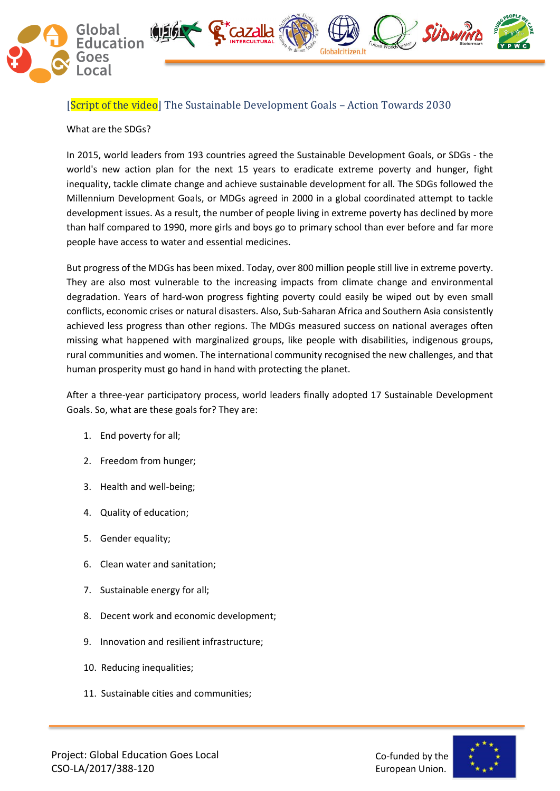

[Script of the video] The Sustainable Development Goals – Action Towards 2030

 $\int_{\mathbb{R}}^{\infty} dZdZ$ 

What are the SDGs?

In 2015, world leaders from 193 countries agreed the Sustainable Development Goals, or SDGs - the world's new action plan for the next 15 years to eradicate extreme poverty and hunger, fight inequality, tackle climate change and achieve sustainable development for all. The SDGs followed the Millennium Development Goals, or MDGs agreed in 2000 in a global coordinated attempt to tackle development issues. As a result, the number of people living in extreme poverty has declined by more than half compared to 1990, more girls and boys go to primary school than ever before and far more people have access to water and essential medicines.

But progress of the MDGs has been mixed. Today, over 800 million people still live in extreme poverty. They are also most vulnerable to the increasing impacts from climate change and environmental degradation. Years of hard-won progress fighting poverty could easily be wiped out by even small conflicts, economic crises or natural disasters. Also, Sub-Saharan Africa and Southern Asia consistently achieved less progress than other regions. The MDGs measured success on national averages often missing what happened with marginalized groups, like people with disabilities, indigenous groups, rural communities and women. The international community recognised the new challenges, and that human prosperity must go hand in hand with protecting the planet.

After a three-year participatory process, world leaders finally adopted 17 Sustainable Development Goals. So, what are these goals for? They are:

- 1. End poverty for all;
- 2. Freedom from hunger;
- 3. Health and well-being;
- 4. Quality of education;
- 5. Gender equality;
- 6. Clean water and sanitation;
- 7. Sustainable energy for all;
- 8. Decent work and economic development;
- 9. Innovation and resilient infrastructure;
- 10. Reducing inequalities;
- 11. Sustainable cities and communities;



SÜDWIND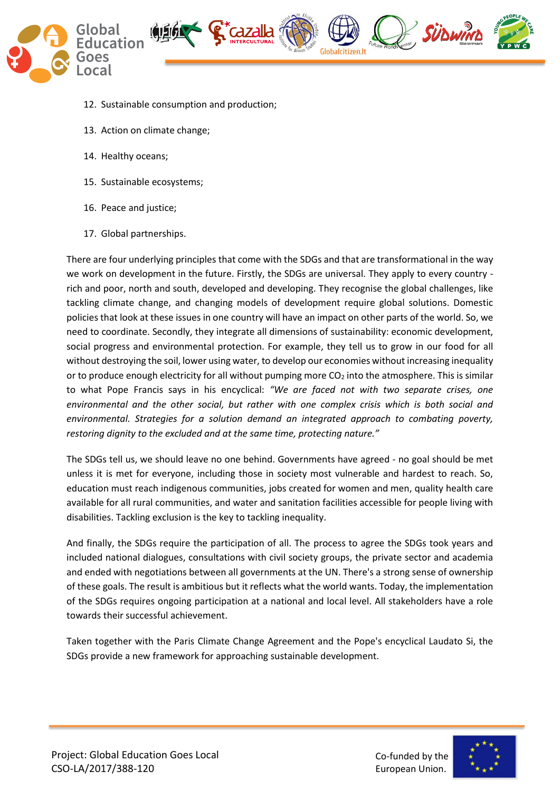

- 12. Sustainable consumption and production;
- 13. Action on climate change;
- 14. Healthy oceans;
- 15. Sustainable ecosystems;
- 16. Peace and justice;
- 17. Global partnerships.

There are four underlying principles that come with the SDGs and that are transformational in the way we work on development in the future. Firstly, the SDGs are universal. They apply to every country rich and poor, north and south, developed and developing. They recognise the global challenges, like tackling climate change, and changing models of development require global solutions. Domestic policies that look at these issues in one country will have an impact on other parts of the world. So, we need to coordinate. Secondly, they integrate all dimensions of sustainability: economic development, social progress and environmental protection. For example, they tell us to grow in our food for all without destroying the soil, lower using water, to develop our economies without increasing inequality or to produce enough electricity for all without pumping more  $CO<sub>2</sub>$  into the atmosphere. This is similar to what Pope Francis says in his encyclical: *"We are faced not with two separate crises, one environmental and the other social, but rather with one complex crisis which is both social and environmental. Strategies for a solution demand an integrated approach to combating poverty, restoring dignity to the excluded and at the same time, protecting nature."*

The SDGs tell us, we should leave no one behind. Governments have agreed - no goal should be met unless it is met for everyone, including those in society most vulnerable and hardest to reach. So, education must reach indigenous communities, jobs created for women and men, quality health care available for all rural communities, and water and sanitation facilities accessible for people living with disabilities. Tackling exclusion is the key to tackling inequality.

And finally, the SDGs require the participation of all. The process to agree the SDGs took years and included national dialogues, consultations with civil society groups, the private sector and academia and ended with negotiations between all governments at the UN. There's a strong sense of ownership of these goals. The result is ambitious but it reflects what the world wants. Today, the implementation of the SDGs requires ongoing participation at a national and local level. All stakeholders have a role towards their successful achievement.

Taken together with the Paris Climate Change Agreement and the Pope's encyclical Laudato Si, the SDGs provide a new framework for approaching sustainable development.

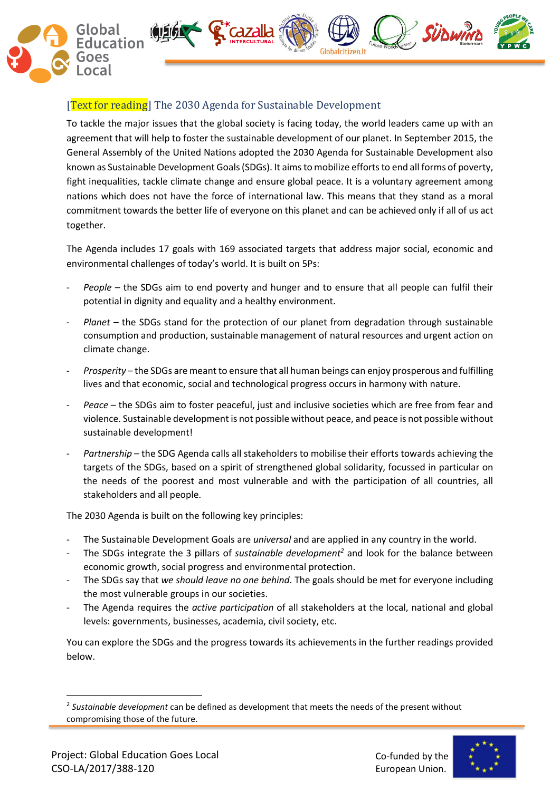

# **Text for reading** The 2030 Agenda for Sustainable Development

To tackle the major issues that the global society is facing today, the world leaders came up with an agreement that will help to foster the sustainable development of our planet. In September 2015, the General Assembly of the United Nations adopted the 2030 Agenda for Sustainable Development also known as Sustainable Development Goals (SDGs). It aims to mobilize efforts to end all forms of poverty, fight inequalities, tackle climate change and ensure global peace. It is a voluntary agreement among nations which does not have the force of international law. This means that they stand as a moral commitment towards the better life of everyone on this planet and can be achieved only if all of us act together.

The Agenda includes 17 goals with 169 associated targets that address major social, economic and environmental challenges of today's world. It is built on 5Ps:

- People the SDGs aim to end poverty and hunger and to ensure that all people can fulfil their potential in dignity and equality and a healthy environment.
- *Planet* the SDGs stand for the protection of our planet from degradation through sustainable consumption and production, sustainable management of natural resources and urgent action on climate change.
- *Prosperity* the SDGs are meant to ensure that all human beings can enjoy prosperous and fulfilling lives and that economic, social and technological progress occurs in harmony with nature.
- Peace the SDGs aim to foster peaceful, just and inclusive societies which are free from fear and violence. Sustainable development is not possible without peace, and peace is not possible without sustainable development!
- Partnership the SDG Agenda calls all stakeholders to mobilise their efforts towards achieving the targets of the SDGs, based on a spirit of strengthened global solidarity, focussed in particular on the needs of the poorest and most vulnerable and with the participation of all countries, all stakeholders and all people.

The 2030 Agenda is built on the following key principles:

- The Sustainable Development Goals are *universal* and are applied in any country in the world.
- The SDGs integrate the 3 pillars of *sustainable development<sup>2</sup>* and look for the balance between economic growth, social progress and environmental protection.
- The SDGs say that *we should leave no one behind*. The goals should be met for everyone including the most vulnerable groups in our societies.
- The Agenda requires the *active participation* of all stakeholders at the local, national and global levels: governments, businesses, academia, civil society, etc.

You can explore the SDGs and the progress towards its achievements in the further readings provided below.

1



<sup>2</sup> *Sustainable development* can be defined as development that meets the needs of the present without compromising those of the future.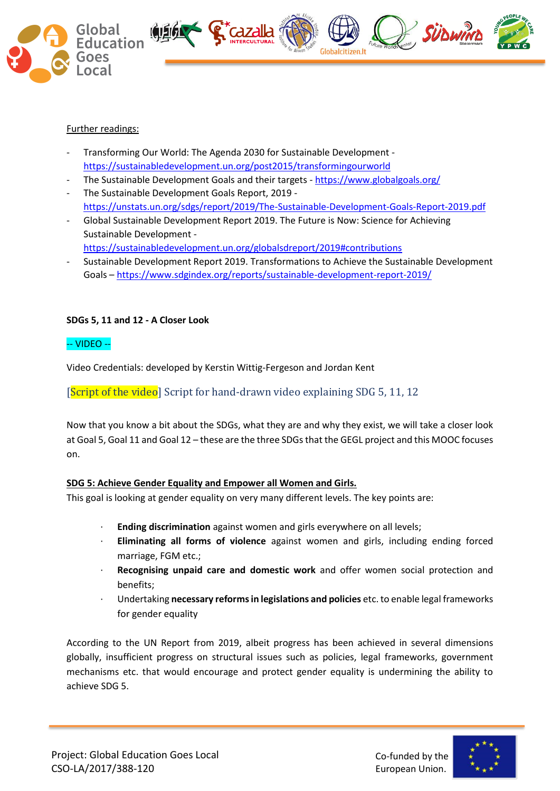

## Further readings:

- Transforming Our World: The Agenda 2030 for Sustainable Development <https://sustainabledevelopment.un.org/post2015/transformingourworld>
- The Sustainable Development Goals and their targets <https://www.globalgoals.org/>
- The Sustainable Development Goals Report, 2019 <https://unstats.un.org/sdgs/report/2019/The-Sustainable-Development-Goals-Report-2019.pdf>
- Global Sustainable Development Report 2019. The Future is Now: Science for Achieving Sustainable Development
	- <https://sustainabledevelopment.un.org/globalsdreport/2019#contributions>
- Sustainable Development Report 2019. Transformations to Achieve the Sustainable Development Goals – <https://www.sdgindex.org/reports/sustainable-development-report-2019/>

# **SDGs 5, 11 and 12 - A Closer Look**

## -- VIDEO --

Video Credentials: developed by Kerstin Wittig-Fergeson and Jordan Kent

[Script of the video] Script for hand-drawn video explaining SDG 5, 11, 12

Now that you know a bit about the SDGs, what they are and why they exist, we will take a closer look at Goal 5, Goal 11 and Goal 12 – these are the three SDGs that the GEGL project and this MOOC focuses on.

# **SDG 5: Achieve Gender Equality and Empower all Women and Girls.**

This goal is looking at gender equality on very many different levels. The key points are:

- · **Ending discrimination** against women and girls everywhere on all levels;
- · **Eliminating all forms of violence** against women and girls, including ending forced marriage, FGM etc.;
- · **Recognising unpaid care and domestic work** and offer women social protection and benefits;
- · Undertaking **necessary reforms in legislations and policies** etc. to enable legal frameworks for gender equality

According to the UN Report from 2019, albeit progress has been achieved in several dimensions globally, insufficient progress on structural issues such as policies, legal frameworks, government mechanisms etc. that would encourage and protect gender equality is undermining the ability to achieve SDG 5.

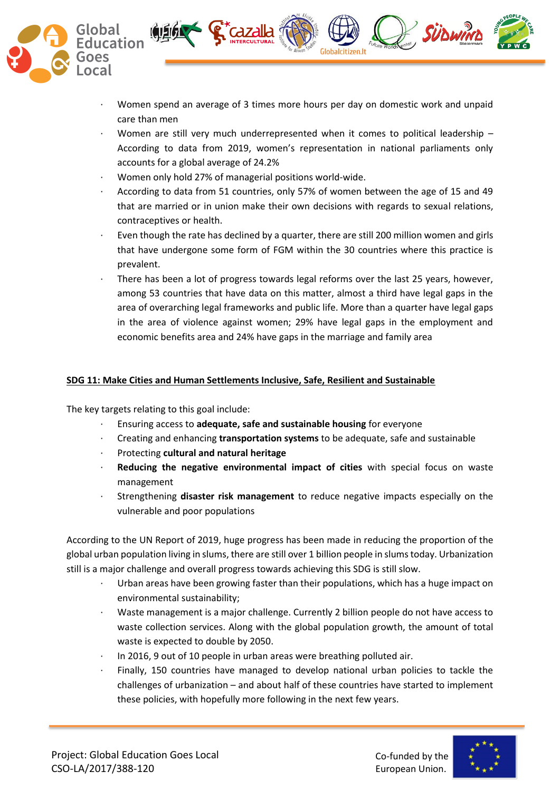

· Women spend an average of 3 times more hours per day on domestic work and unpaid care than men

SÜDWINL

- Women are still very much underrepresented when it comes to political leadership  $-$ According to data from 2019, women's representation in national parliaments only accounts for a global average of 24.2%
- · Women only hold 27% of managerial positions world-wide.

**S Cazalla** 

- · According to data from 51 countries, only 57% of women between the age of 15 and 49 that are married or in union make their own decisions with regards to sexual relations, contraceptives or health.
- Even though the rate has declined by a quarter, there are still 200 million women and girls that have undergone some form of FGM within the 30 countries where this practice is prevalent.
- There has been a lot of progress towards legal reforms over the last 25 years, however, among 53 countries that have data on this matter, almost a third have legal gaps in the area of overarching legal frameworks and public life. More than a quarter have legal gaps in the area of violence against women; 29% have legal gaps in the employment and economic benefits area and 24% have gaps in the marriage and family area

## **SDG 11: Make Cities and Human Settlements Inclusive, Safe, Resilient and Sustainable**

The key targets relating to this goal include:

- · Ensuring access to **adequate, safe and sustainable housing** for everyone
- · Creating and enhancing **transportation systems** to be adequate, safe and sustainable
- · Protecting **cultural and natural heritage**
- · **Reducing the negative environmental impact of cities** with special focus on waste management
- · Strengthening **disaster risk management** to reduce negative impacts especially on the vulnerable and poor populations

According to the UN Report of 2019, huge progress has been made in reducing the proportion of the global urban population living in slums, there are still over 1 billion people in slums today. Urbanization still is a major challenge and overall progress towards achieving this SDG is still slow.

- Urban areas have been growing faster than their populations, which has a huge impact on environmental sustainability;
- Waste management is a major challenge. Currently 2 billion people do not have access to waste collection services. Along with the global population growth, the amount of total waste is expected to double by 2050.
- In 2016, 9 out of 10 people in urban areas were breathing polluted air.
- Finally, 150 countries have managed to develop national urban policies to tackle the challenges of urbanization – and about half of these countries have started to implement these policies, with hopefully more following in the next few years.

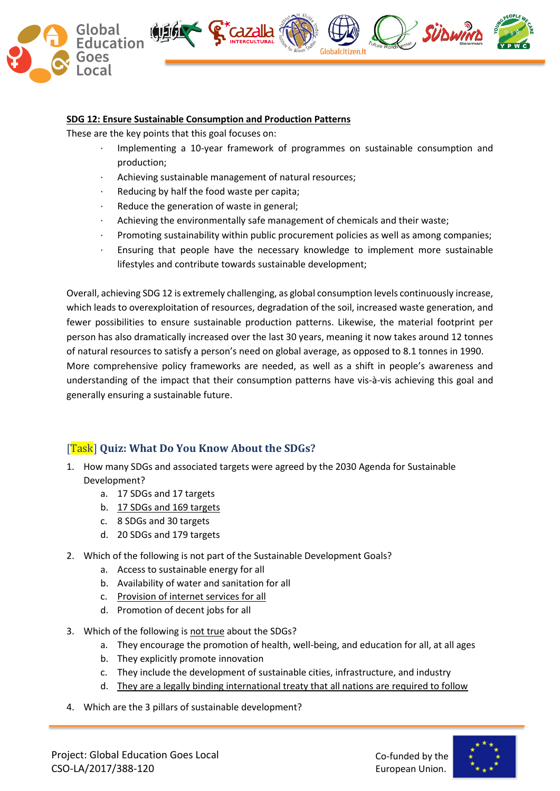

#### **SDG 12: Ensure Sustainable Consumption and Production Patterns**

These are the key points that this goal focuses on:

- · Implementing a 10-year framework of programmes on sustainable consumption and production;
- Achieving sustainable management of natural resources;
- Reducing by half the food waste per capita;
- Reduce the generation of waste in general;
- Achieving the environmentally safe management of chemicals and their waste;
- · Promoting sustainability within public procurement policies as well as among companies;
- Ensuring that people have the necessary knowledge to implement more sustainable lifestyles and contribute towards sustainable development;

Overall, achieving SDG 12 is extremely challenging, as global consumption levels continuously increase, which leads to overexploitation of resources, degradation of the soil, increased waste generation, and fewer possibilities to ensure sustainable production patterns. Likewise, the material footprint per person has also dramatically increased over the last 30 years, meaning it now takes around 12 tonnes of natural resources to satisfy a person's need on global average, as opposed to 8.1 tonnes in 1990. More comprehensive policy frameworks are needed, as well as a shift in people's awareness and

understanding of the impact that their consumption patterns have vis-à-vis achieving this goal and generally ensuring a sustainable future.

# [Task] **Quiz: What Do You Know About the SDGs?**

- 1. How many SDGs and associated targets were agreed by the 2030 Agenda for Sustainable Development?
	- a. 17 SDGs and 17 targets
	- b. 17 SDGs and 169 targets
	- c. 8 SDGs and 30 targets
	- d. 20 SDGs and 179 targets
- 2. Which of the following is not part of the Sustainable Development Goals?
	- a. Access to sustainable energy for all
	- b. Availability of water and sanitation for all
	- c. Provision of internet services for all
	- d. Promotion of decent jobs for all
- 3. Which of the following is not true about the SDGs?
	- a. They encourage the promotion of health, well-being, and education for all, at all ages
	- b. They explicitly promote innovation
	- c. They include the development of sustainable cities, infrastructure, and industry
	- d. They are a legally binding international treaty that all nations are required to follow
- 4. Which are the 3 pillars of sustainable development?

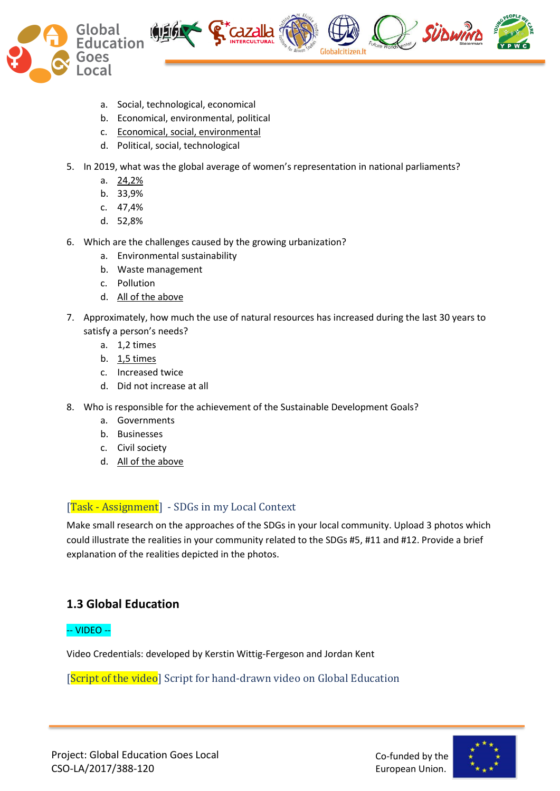



- a. Social, technological, economical
- b. Economical, environmental, political
- c. Economical, social, environmental
- d. Political, social, technological
- 5. In 2019, what was the global average of women's representation in national parliaments?
	- a. 24,2%
	- b. 33,9%
	- c. 47,4%
	- d. 52,8%
- 6. Which are the challenges caused by the growing urbanization?
	- a. Environmental sustainability
	- b. Waste management
	- c. Pollution
	- d. All of the above
- 7. Approximately, how much the use of natural resources has increased during the last 30 years to satisfy a person's needs?
	- a. 1,2 times
	- b. 1,5 times
	- c. Increased twice
	- d. Did not increase at all
- 8. Who is responsible for the achievement of the Sustainable Development Goals?
	- a. Governments
	- b. Businesses
	- c. Civil society
	- d. All of the above

# [Task - Assignment] - SDGs in my Local Context

Make small research on the approaches of the SDGs in your local community. Upload 3 photos which could illustrate the realities in your community related to the SDGs #5, #11 and #12. Provide a brief explanation of the realities depicted in the photos.

# **1.3 Global Education**

# -- VIDEO --

Video Credentials: developed by Kerstin Wittig-Fergeson and Jordan Kent

[Script of the video] Script for hand-drawn video on Global Education

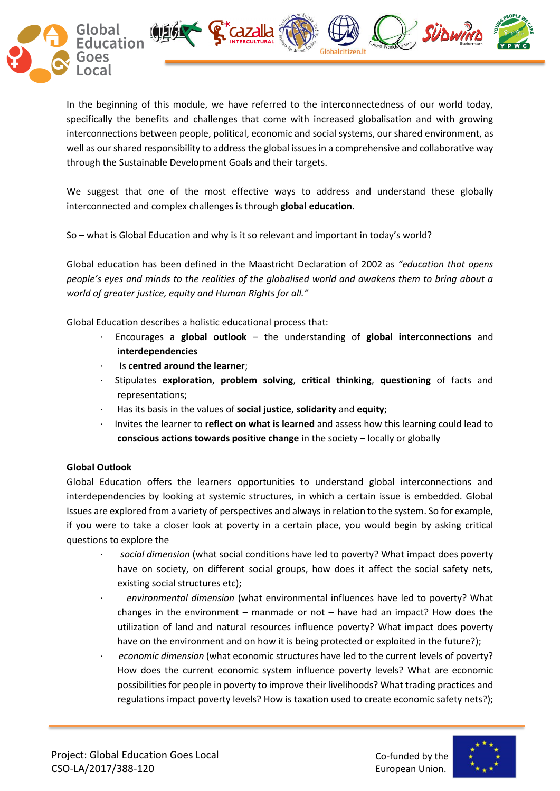

In the beginning of this module, we have referred to the interconnectedness of our world today, specifically the benefits and challenges that come with increased globalisation and with growing interconnections between people, political, economic and social systems, our shared environment, as well as our shared responsibility to address the global issues in a comprehensive and collaborative way through the Sustainable Development Goals and their targets.

We suggest that one of the most effective ways to address and understand these globally interconnected and complex challenges is through **global education**.

So – what is Global Education and why is it so relevant and important in today's world?

Global education has been defined in the Maastricht Declaration of 2002 as *"education that opens people's eyes and minds to the realities of the globalised world and awakens them to bring about a world of greater justice, equity and Human Rights for all."*

Global Education describes a holistic educational process that:

- · Encourages a **global outlook** the understanding of **global interconnections** and **interdependencies**
- · Is **centred around the learner**;
- · Stipulates **exploration**, **problem solving**, **critical thinking**, **questioning** of facts and representations;
- · Has its basis in the values of **social justice**, **solidarity** and **equity**;
- · Invites the learner to **reflect on what is learned** and assess how this learning could lead to **conscious actions towards positive change** in the society – locally or globally

# **Global Outlook**

Global Education offers the learners opportunities to understand global interconnections and interdependencies by looking at systemic structures, in which a certain issue is embedded. Global Issues are explored from a variety of perspectives and always in relation to the system. So for example, if you were to take a closer look at poverty in a certain place, you would begin by asking critical questions to explore the

- · *social dimension* (what social conditions have led to poverty? What impact does poverty have on society, on different social groups, how does it affect the social safety nets, existing social structures etc);
- · *environmental dimension* (what environmental influences have led to poverty? What changes in the environment – manmade or not – have had an impact? How does the utilization of land and natural resources influence poverty? What impact does poverty have on the environment and on how it is being protected or exploited in the future?);
- · *economic dimension* (what economic structures have led to the current levels of poverty? How does the current economic system influence poverty levels? What are economic possibilities for people in poverty to improve their livelihoods? What trading practices and regulations impact poverty levels? How is taxation used to create economic safety nets?);

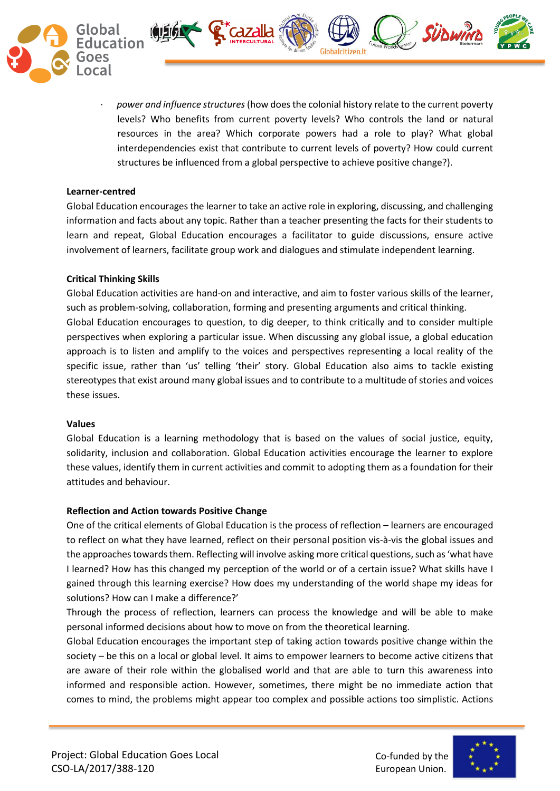

· *power and influence structures*(how does the colonial history relate to the current poverty levels? Who benefits from current poverty levels? Who controls the land or natural resources in the area? Which corporate powers had a role to play? What global interdependencies exist that contribute to current levels of poverty? How could current structures be influenced from a global perspective to achieve positive change?).

**SÜDWINI** 

**S Cazalla** 

#### **Learner-centred**

Global Education encourages the learner to take an active role in exploring, discussing, and challenging information and facts about any topic. Rather than a teacher presenting the facts for their students to learn and repeat, Global Education encourages a facilitator to guide discussions, ensure active involvement of learners, facilitate group work and dialogues and stimulate independent learning.

#### **Critical Thinking Skills**

Global Education activities are hand-on and interactive, and aim to foster various skills of the learner, such as problem-solving, collaboration, forming and presenting arguments and critical thinking. Global Education encourages to question, to dig deeper, to think critically and to consider multiple perspectives when exploring a particular issue. When discussing any global issue, a global education approach is to listen and amplify to the voices and perspectives representing a local reality of the specific issue, rather than 'us' telling 'their' story. Global Education also aims to tackle existing stereotypes that exist around many global issues and to contribute to a multitude of stories and voices these issues.

#### **Values**

Global Education is a learning methodology that is based on the values of social justice, equity, solidarity, inclusion and collaboration. Global Education activities encourage the learner to explore these values, identify them in current activities and commit to adopting them as a foundation for their attitudes and behaviour.

#### **Reflection and Action towards Positive Change**

One of the critical elements of Global Education is the process of reflection – learners are encouraged to reflect on what they have learned, reflect on their personal position vis-à-vis the global issues and the approaches towards them. Reflecting will involve asking more critical questions, such as 'what have I learned? How has this changed my perception of the world or of a certain issue? What skills have I gained through this learning exercise? How does my understanding of the world shape my ideas for solutions? How can I make a difference?'

Through the process of reflection, learners can process the knowledge and will be able to make personal informed decisions about how to move on from the theoretical learning.

Global Education encourages the important step of taking action towards positive change within the society – be this on a local or global level. It aims to empower learners to become active citizens that are aware of their role within the globalised world and that are able to turn this awareness into informed and responsible action. However, sometimes, there might be no immediate action that comes to mind, the problems might appear too complex and possible actions too simplistic. Actions

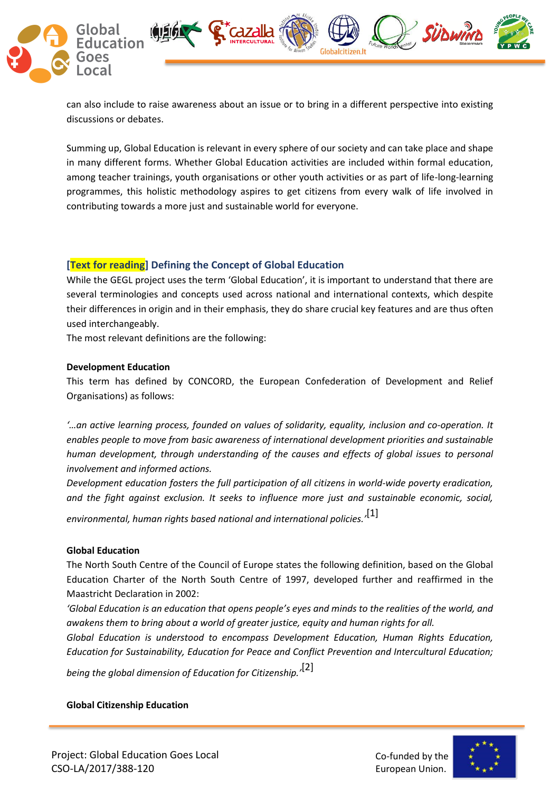

can also include to raise awareness about an issue or to bring in a different perspective into existing discussions or debates.

Summing up, Global Education is relevant in every sphere of our society and can take place and shape in many different forms. Whether Global Education activities are included within formal education, among teacher trainings, youth organisations or other youth activities or as part of life-long-learning programmes, this holistic methodology aspires to get citizens from every walk of life involved in contributing towards a more just and sustainable world for everyone.

# **[Text for reading] Defining the Concept of Global Education**

While the GEGL project uses the term 'Global Education', it is important to understand that there are several terminologies and concepts used across national and international contexts, which despite their differences in origin and in their emphasis, they do share crucial key features and are thus often used interchangeably.

The most relevant definitions are the following:

#### **Development Education**

This term has defined by CONCORD, the European Confederation of Development and Relief Organisations) as follows:

*'…an active learning process, founded on values of solidarity, equality, inclusion and co-operation. It enables people to move from basic awareness of international development priorities and sustainable human development, through understanding of the causes and effects of global issues to personal involvement and informed actions.*

*Development education fosters the full participation of all citizens in world-wide poverty eradication, and the fight against exclusion. It seeks to influence more just and sustainable economic, social,* 

*environmental, human rights based national and international policies.'*[1]

## **Global Education**

The North South Centre of the Council of Europe states the following definition, based on the Global Education Charter of the North South Centre of 1997, developed further and reaffirmed in the Maastricht Declaration in 2002:

*'Global Education is an education that opens people's eyes and minds to the realities of the world, and awakens them to bring about a world of greater justice, equity and human rights for all.*

*Global Education is understood to encompass Development Education, Human Rights Education, Education for Sustainability, Education for Peace and Conflict Prevention and Intercultural Education;* 

*being the global dimension of Education for Citizenship.'*[2]

## **Global Citizenship Education**

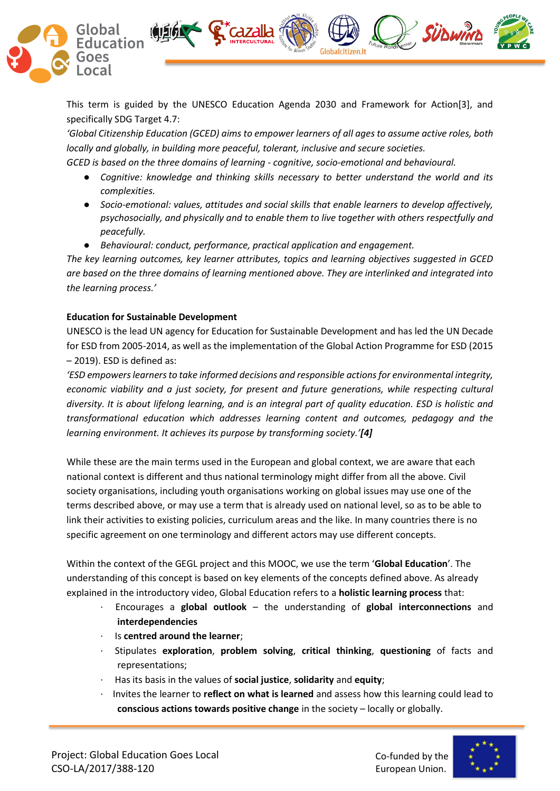

This term is guided by the UNESCO Education Agenda 2030 and Framework for Action[3], and specifically SDG Target 4.7:

*'Global Citizenship Education (GCED) aims to empower learners of all ages to assume active roles, both locally and globally, in building more peaceful, tolerant, inclusive and secure societies.*

*GCED is based on the three domains of learning - cognitive, socio-emotional and behavioural.*

**S Cazalla** 

- *Cognitive: knowledge and thinking skills necessary to better understand the world and its complexities.*
- *Socio-emotional: values, attitudes and social skills that enable learners to develop affectively, psychosocially, and physically and to enable them to live together with others respectfully and peacefully.*
- *Behavioural: conduct, performance, practical application and engagement.*

*The key learning outcomes, key learner attributes, topics and learning objectives suggested in GCED are based on the three domains of learning mentioned above. They are interlinked and integrated into the learning process.'*

# **Education for Sustainable Development**

UNESCO is the lead UN agency for Education for Sustainable Development and has led the UN Decade for ESD from 2005-2014, as well as the implementation of the Global Action Programme for ESD (2015 – 2019). ESD is defined as:

*'ESD empowers learners to take informed decisions and responsible actions for environmental integrity, economic viability and a just society, for present and future generations, while respecting cultural diversity. It is about lifelong learning, and is an integral part of quality education. ESD is holistic and transformational education which addresses learning content and outcomes, pedagogy and the learning environment. It achieves its purpose by transforming society.'[4]*

While these are the main terms used in the European and global context, we are aware that each national context is different and thus national terminology might differ from all the above. Civil society organisations, including youth organisations working on global issues may use one of the terms described above, or may use a term that is already used on national level, so as to be able to link their activities to existing policies, curriculum areas and the like. In many countries there is no specific agreement on one terminology and different actors may use different concepts.

Within the context of the GEGL project and this MOOC, we use the term '**Global Education**'. The understanding of this concept is based on key elements of the concepts defined above. As already explained in the introductory video, Global Education refers to a **holistic learning process** that:

- · Encourages a **global outlook** the understanding of **global interconnections** and **interdependencies**
- · Is **centred around the learner**;
- · Stipulates **exploration**, **problem solving**, **critical thinking**, **questioning** of facts and representations;
- · Has its basis in the values of **social justice**, **solidarity** and **equity**;
- · Invites the learner to **reflect on what is learned** and assess how this learning could lead to **conscious actions towards positive change** in the society – locally or globally.



**SÜDWINI**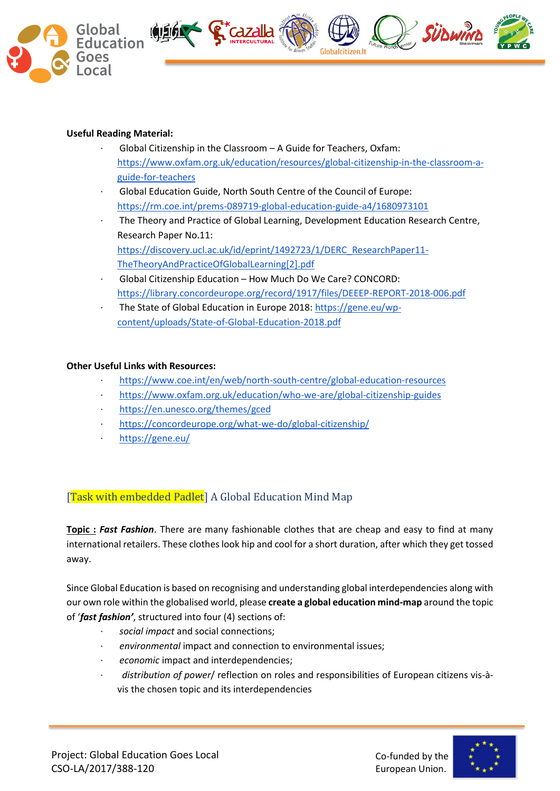

## **Useful Reading Material:**

- Global Citizenship in the Classroom A Guide for Teachers, Oxfam[:](https://www.oxfam.org.uk/education/resources/global-citizenship-in-the-classroom-a-guide-for-teachers) [https://www.oxfam.org.uk/education/resources/global-citizenship-in-the-classroom-a](https://www.oxfam.org.uk/education/resources/global-citizenship-in-the-classroom-a-guide-for-teachers)[guide-for-teachers](https://www.oxfam.org.uk/education/resources/global-citizenship-in-the-classroom-a-guide-for-teachers)
- · Global Education Guide, North South Centre of the Council of Europe[:](https://rm.coe.int/prems-089719-global-education-guide-a4/1680973101) <https://rm.coe.int/prems-089719-global-education-guide-a4/1680973101>
- · The Theory and Practice of Global Learning, Development Education Research Centre, Research Paper No.11[:](https://discovery.ucl.ac.uk/id/eprint/1492723/1/DERC_ResearchPaper11-TheTheoryAndPracticeOfGlobalLearning%5b2%5d.pdf) [https://discovery.ucl.ac.uk/id/eprint/1492723/1/DERC\\_ResearchPaper11-](https://discovery.ucl.ac.uk/id/eprint/1492723/1/DERC_ResearchPaper11-TheTheoryAndPracticeOfGlobalLearning%5b2%5d.pdf) [TheTheoryAndPracticeOfGlobalLearning\[2\].pdf](https://discovery.ucl.ac.uk/id/eprint/1492723/1/DERC_ResearchPaper11-TheTheoryAndPracticeOfGlobalLearning%5b2%5d.pdf)
- · Global Citizenship Education How Much Do We Care? CONCORD[:](https://library.concordeurope.org/record/1917/files/DEEEP-REPORT-2018-006.pdf) <https://library.concordeurope.org/record/1917/files/DEEEP-REPORT-2018-006.pdf>
- · The State of Global Education in Europe 2018[:](https://gene.eu/wp-content/uploads/State-of-Global-Education-2018.pdf) [https://gene.eu/wp](https://gene.eu/wp-content/uploads/State-of-Global-Education-2018.pdf)[content/uploads/State-of-Global-Education-2018.pdf](https://gene.eu/wp-content/uploads/State-of-Global-Education-2018.pdf)

## **Other Useful Links with Resources:**

- <https://www.coe.int/en/web/north-south-centre/global-education-resources>
- · <https://www.oxfam.org.uk/education/who-we-are/global-citizenship-guides>
- <https://en.unesco.org/themes/gced>
- <https://concordeurope.org/what-we-do/global-citizenship/>
- · <https://gene.eu/>

# [Task with embedded Padlet] A Global Education Mind Map

**Topic :** *Fast Fashion*. There are many fashionable clothes that are cheap and easy to find at many international retailers. These clothes look hip and cool for a short duration, after which they get tossed away.

Since Global Education is based on recognising and understanding global interdependencies along with our own role within the globalised world, please **create a global education mind-map** around the topic of '*fast fashion'*, structured into four (4) sections of:

- · *social impact* and social connections;
- · *environmental* impact and connection to environmental issues;
- · *economic* impact and interdependencies;
- · *distribution of power*/ reflection on roles and responsibilities of European citizens vis-àvis the chosen topic and its interdependencies